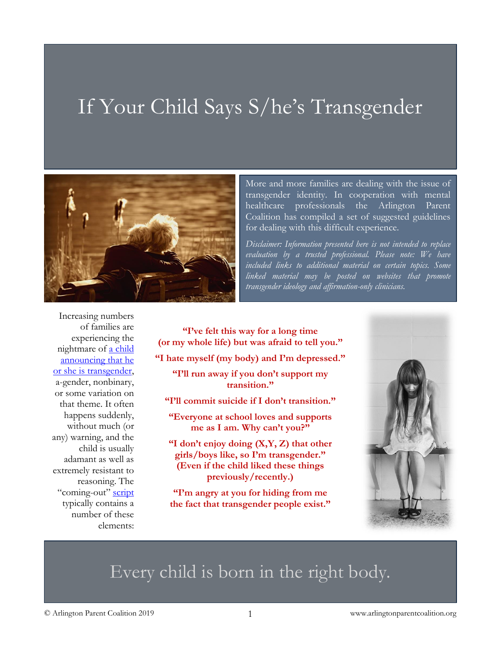# If Your Child Says S/he's Transgender



More and more families are dealing with the issue of transgender identity. In cooperation with mental healthcare professionals the Arlington Parent Coalition has compiled a set of suggested guidelines for dealing with this difficult experience.

*Disclaimer: Information presented here is not intended to replace evaluation by a trusted professional. Please note: We have included links to additional material on certain topics. Some linked material may be posted on websites that promote transgender ideology and affirmation-only clinicians.*

Increasing numbers of families are experiencing the nightmare of [a child](https://www.theatlantic.com/magazine/archive/2018/07/when-a-child-says-shes-trans/561749/)  [announcing that he](https://www.theatlantic.com/magazine/archive/2018/07/when-a-child-says-shes-trans/561749/)  [or she is transgender,](https://www.theatlantic.com/magazine/archive/2018/07/when-a-child-says-shes-trans/561749/) a-gender, nonbinary, or some variation on that theme. It often happens suddenly, without much (or any) warning, and the child is usually adamant as well as extremely resistant to reasoning. The "coming-out" [script](https://journals.plos.org/plosone/article?id=10.1371/journal.pone.0202330) typically contains a number of these elements:

**"I've felt this way for a long time (or my whole life) but was afraid to tell you." "I hate myself (my body) and I'm depressed." "I'll run away if you don't support my transition." "I'll commit suicide if I don't transition." "Everyone at school loves and supports me as I am. Why can't you?" "I don't enjoy doing (X,Y, Z) that other girls/boys like, so I'm transgender." (Even if the child liked these things** 

**"I'm angry at you for hiding from me the fact that transgender people exist."**

**previously/recently.)**



## Every child is born in the right body.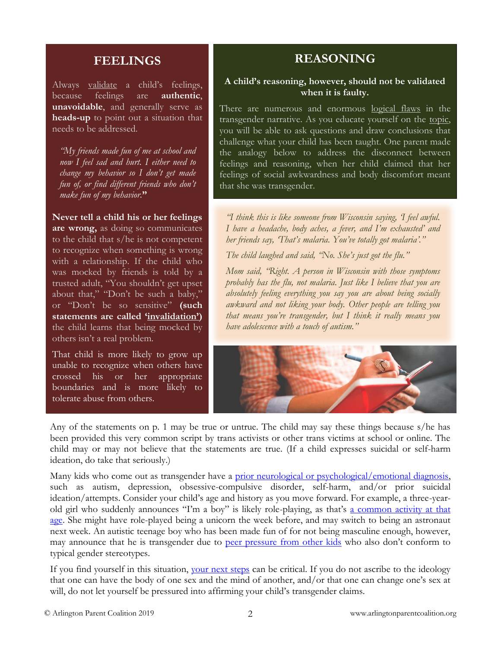### **FEELINGS**

Always [validate](https://www.goodtherapy.org/blog/can-validation-help-you-connect-bond-with-your-teen-0206174) a child's feelings, because feelings are **authentic**, **unavoidable**, and generally serve as **heads-up** to point out a situation that needs to be addressed.

*"My friends made fun of me at school and now I feel sad and hurt. I either need to change my behavior so I don't get made fun of, or find different friends who don't make fun of my behavior.***"**

**Never tell a child his or her feelings are wrong,** as doing so communicates to the child that s/he is not competent to recognize when something is wrong with a relationship. If the child who was mocked by friends is told by a trusted adult, "You shouldn't get upset about that," "Don't be such a baby," or "Don't be so sensitive" **(such statements are called ['invalidation'](https://blogs.psychcentral.com/emotionally-sensitive/2012/02/reasons-you-and-others-invalidate-your-emotional-experience/))** the child learns that being mocked by others isn't a real problem.

That child is more likely to grow up unable to recognize when others have crossed his or her appropriate boundaries and is more likely to tolerate abuse from others.

## **REASONING**

#### **A child's reasoning, however, should not be validated when it is faulty.**

There are numerous and enormous [logical flaws](https://www.thepublicdiscourse.com/2017/04/19080/) in the transgender narrative. As you educate yourself on the [topic,](https://www.acpeds.org/the-college-speaks/position-statements/gender-dysphoria-in-children) you will be able to ask questions and draw conclusions that challenge what your child has been taught. One parent made the analogy below to address the disconnect between feelings and reasoning, when her child claimed that her feelings of social awkwardness and body discomfort meant that she was transgender.

*"I think this is like someone from Wisconsin saying, 'I feel awful. I have a headache, body aches, a fever, and I'm exhausted' and her friends say, 'That's malaria. You've totally got malaria'."*

*The child laughed and said, "No. She's just got the flu."*

*Mom said, "Right. A person in Wisconsin with those symptoms probably has the flu, not malaria. Just like I believe that you are absolutely feeling everything you say you are about being socially awkward and not liking your body. Other people are telling you that means you're transgender, but I think it really means you have adolescence with a touch of autism."*



Any of the statements on p. 1 may be true or untrue. The child may say these things because s/he has been provided this very common script by trans activists or other trans victims at school or online. The child may or may not believe that the statements are true. (If a child expresses suicidal or self-harm ideation, do take that seriously.)

Many kids who come out as transgender have a [prior neurological or psychological/emotional diagnosis,](https://journals.plos.org/plosone/article%3Fid=10.1371/journal.pone.0202330) such as autism, depression, obsessive-compulsive disorder, self-harm, and/or prior suicidal ideation/attempts. Consider your child's age and history as you move forward. For example, a three-yearold girl who suddenly announces "I'm a boy" is likely role-playing, as that's [a common activity at that](https://www.pentagonplay.co.uk/news-and-info/why-pretend-play-is-important-to-child-development)  [age.](https://www.pentagonplay.co.uk/news-and-info/why-pretend-play-is-important-to-child-development) She might have role-played being a unicorn the week before, and may switch to being an astronaut next week. An autistic teenage boy who has been made fun of for not being masculine enough, however, may announce that he is transgender due to [peer pressure from other kids](https://raisingchildren.net.au/autism/communicating-relationships/connecting/friends-peers-asd%23bullying-peer-pressure-and-autism-spectrum-disorder-nav-title) who also don't conform to typical gender stereotypes.

If you find [your](https://www.kidspeace.org/wp-content/uploads/2015/08/KPparent15ways008_0003.pdf)self in this situation, your next steps can be critical. If you do not ascribe to the ideology that one can have the body of one sex and the mind of another, and/or that one can change one's sex at will, do not let yourself be pressured into affirming your child's transgender claims.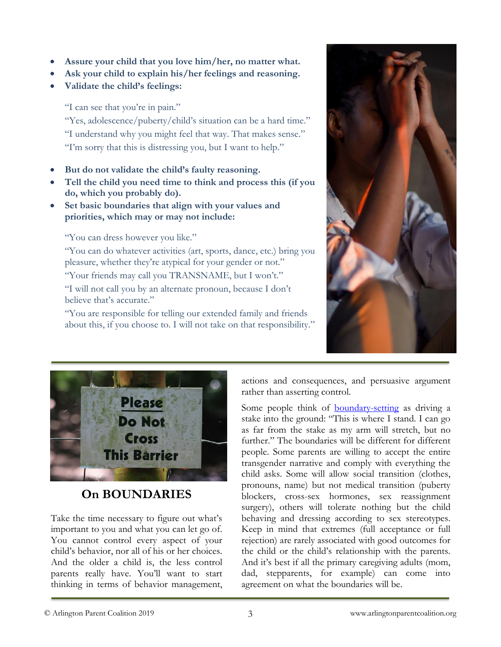- **Assure your child that you love him/her, no matter what.**
- **Ask your child to explain his/her feelings and reasoning.**
- **Validate the child's feelings:**

"I can see that you're in pain."

"Yes, adolescence/puberty/child's situation can be a hard time." "I understand why you might feel that way. That makes sense." "I'm sorry that this is distressing you, but I want to help."

- **But do not validate the child's faulty reasoning.**
- **Tell the child you need time to think and process this (if you do, which you probably do).**
- **Set basic boundaries that align with your values and priorities, which may or may not include:**

"You can dress however you like."

"You can do whatever activities (art, sports, dance, etc.) bring you pleasure, whether they're atypical for your gender or not."

"Your friends may call you TRANSNAME, but I won't."

"I will not call you by an alternate pronoun, because I don't believe that's accurate."

"You are responsible for telling our extended family and friends about this, if you choose to. I will not take on that responsibility."





## **On BOUNDARIES**

Take the time necessary to figure out what's important to you and what you can let go of. You cannot control every aspect of your child's behavior, nor all of his or her choices. And the older a child is, the less control parents really have. You'll want to start thinking in terms of behavior management, actions and consequences, and persuasive argument rather than asserting control.

Some people think of **[boundary-setting](https://www.amazon.com/Boundaries-Kids-Children-Control-Their/dp/0310243157/ref=sr_1_2)** as driving a stake into the ground: "This is where I stand. I can go as far from the stake as my arm will stretch, but no further." The boundaries will be different for different people. Some parents are willing to accept the entire transgender narrative and comply with everything the child asks. Some will allow social transition (clothes, pronouns, name) but not medical transition (puberty blockers, cross-sex hormones, sex reassignment surgery), others will tolerate nothing but the child behaving and dressing according to sex stereotypes. Keep in mind that extremes (full acceptance or full rejection) are rarely associated with good outcomes for the child or the child's relationship with the parents. And it's best if all the primary caregiving adults (mom, dad, stepparents, for example) can come into agreement on what the boundaries will be.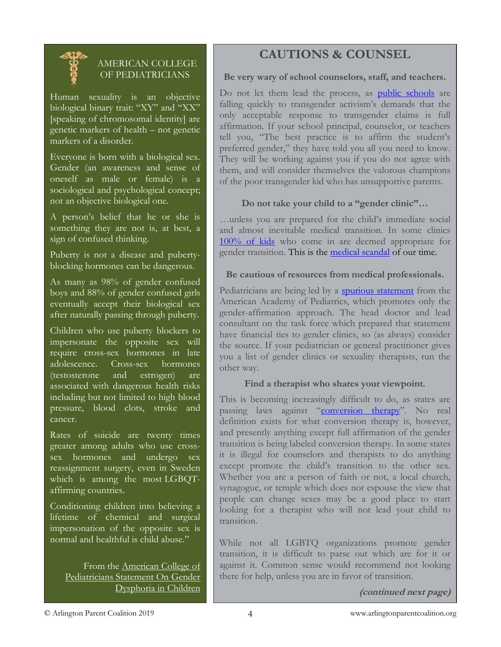

#### AMERICAN COLLEGE OF PEDIATRICIANS

Human sexuality is an objective biological binary trait: "XY" and "XX" [speaking of chromosomal identity] are genetic markers of health – not genetic markers of a disorder.

Everyone is born with a biological sex. Gender (an awareness and sense of oneself as male or female) is a sociological and psychological concept; not an objective biological one.

A person's belief that he or she is something they are not is, at best, a sign of confused thinking.

Puberty is not a disease and pubertyblocking hormones can be dangerous.

As many as 98% of gender confused boys and 88% of gender confused girls eventually accept their biological sex after naturally passing through puberty.

Children who use puberty blockers to impersonate the opposite sex will require cross-sex hormones in late adolescence. Cross-sex hormones (testosterone and estrogen) are associated with dangerous health risks including but not limited to high blood pressure, blood clots, stroke and cancer.

Rates of suicide are twenty times greater among adults who use crosssex hormones and undergo sex reassignment surgery, even in Sweden which is among the most LGBQTaffirming countries.

Conditioning children into believing a lifetime of chemical and surgical impersonation of the opposite sex is normal and healthful is child abuse."

From the [American College of](https://www.acpeds.org/the-college-speaks/position-statements/gender-dysphoria-in-children)  [Pediatricians Statement On Gender](https://www.acpeds.org/the-college-speaks/position-statements/gender-dysphoria-in-children)  [Dysphoria in Children](https://www.acpeds.org/the-college-speaks/position-statements/gender-dysphoria-in-children)

## **CAUTIONS & COUNSEL**

#### **Be very wary of school counselors, staff, and teachers.**

Do not let them lead the process, as **[public schools](https://www.nationalreview.com/2017/09/transgender-agenda-schools-kindergarten-california-opt-in-opt-out-state-laws-prevent/)** are falling quickly to transgender activism's demands that the only acceptable response to transgender claims is full affirmation. If your school principal, counselor, or teachers tell you, "The best practice is to affirm the student's preferred gender," they have told you all you need to know. They will be working against you if you do not agree with them, and will consider themselves the valorous champions of the poor transgender kid who has unsupportive parents.

#### **Do not take your child to a "gender clinic"…**

…unless you are prepared for the child's immediate social and almost inevitable medical transition. In some clinics [100% of kids](https://www.heritage.org/marriage-and-family/commentary/pelosis-equality-act-could-lead-more-parents-losing-custody-kids-who) who come in are deemed appropriate for gender transition. This is the [medical scandal](https://www.thepublicdiscourse.com/2019/04/50959/) of our time.

#### **Be cautious of resources from medical professionals.**

Pediatricians are being led by a [spurious statement](https://pediatrics.aappublications.org/content/142/4/e20182162) from the American Academy of Pediatrics, which promotes only the gender-affirmation approach. The head doctor and lead consultant on the task force which prepared that statement have financial ties to gender clinics, so (as always) consider the source. If your pediatrician or general practitioner gives you a list of gender clinics or sexuality therapists, run the other way.

#### **Find a therapist who shares your viewpoint.**

This is becoming increasingly difficult to do, as states are passing laws against "[conversion therapy](https://www.dailysignal.com/author/ken-williams/)". No real definition exists for what conversion therapy is, however, and presently anything except full affirmation of the gender transition is being labeled conversion therapy. In some states it is illegal for counselors and therapists to do anything except promote the child's transition to the other sex. Whether you are a person of faith or not, a local church, synagogue, or temple which does not espouse the view that people can change sexes may be a good place to start looking for a therapist who will not lead your child to transition.

While not all LGBTQ organizations promote gender transition, it is difficult to parse out which are for it or against it. Common sense would recommend not looking there for help, unless you are in favor of transition.

**(continued next page)**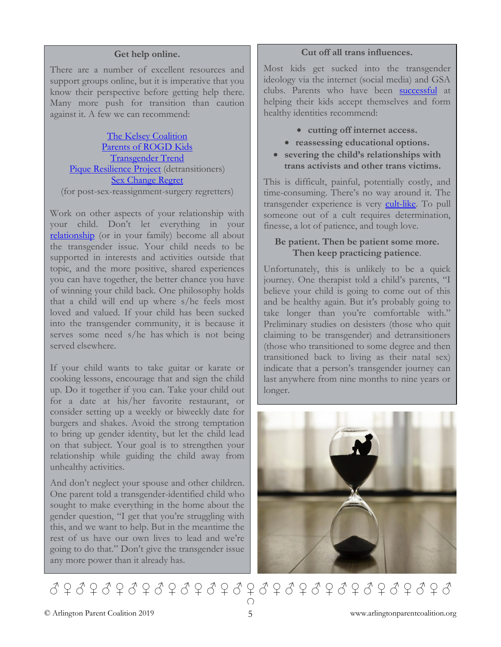#### **Get help online.**

There are a number of excellent resources and support groups online, but it is imperative that you know their perspective before getting help there. Many more push for transition than caution against it. A few we can recommend:

[The Kelsey Coalition](https://www.kelseycoalition.org/) [Parents of ROGD Kids](https://www.parentsofrogdkids.com/) [Transgender Trend](https://www.transgendertrend.com/) [Pique Resilience Project](https://www.piqueresproject.com/) (detransitioners) [Sex Change Regret](http://www.sexchangeregret.com/) (for post-sex-reassignment-surgery regretters)

Work on other aspects of your relationship with your child. Don't let everything in your [relationship](https://wastingmyeducation.blogspot.com/2016/10/5-easy-ish-ways-to-step-up-your-game.html) (or in your family) become all about the transgender issue. Your child needs to be supported in interests and activities outside that topic, and the more positive, shared experiences you can have together, the better chance you have of winning your child back. One philosophy holds that a child will end up where s/he feels most loved and valued. If your child has been sucked into the transgender community, it is because it serves some need s/he has which is not being served elsewhere.

If your child wants to take guitar or karate or cooking lessons, encourage that and sign the child up. Do it together if you can. Take your child out for a date at his/her favorite restaurant, or consider setting up a weekly or biweekly date for burgers and shakes. Avoid the strong temptation to bring up gender identity, but let the child lead on that subject. Your goal is to strengthen your relationship while guiding the child away from unhealthy activities.

And don't neglect your spouse and other children. One parent told a transgender-identified child who sought to make everything in the home about the gender question, "I get that you're struggling with this, and we want to help. But in the meantime the rest of us have our own lives to lead and we're going to do that." Don't give the transgender issue any more power than it already has.

#### **Cut off all trans influences.**

Most kids get sucked into the transgender ideology via the internet (social media) and GSA clubs. Parents who have been [successful](https://thejungsoul.com/new-guidance-for-rapid-onset-gender-dysphoria/) at helping their kids accept themselves and form healthy identities recommend:

- **cutting off internet access.**
- **reassessing educational options.**
- **severing the child's relationships with trans activists and other trans victims.**

This is difficult, painful, potentially costly, and time-consuming. There's no way around it. The transgender experience is very [cult-like.](https://www.feministcurrent.com/2019/04/10/i-supported-trans-ideology-until-i-couldnt-anymore/) To pull someone out of a cult requires determination, finesse, a lot of patience, and tough love.

#### **Be patient. Then be patient some more. Then keep practicing patience**.

Unfortunately, this is unlikely to be a quick journey. One therapist told a child's parents, "I believe your child is going to come out of this and be healthy again. But it's probably going to take longer than you're comfortable with." Preliminary studies on desisters (those who quit claiming to be transgender) and detransitioners (those who transitioned to some degree and then transitioned back to living as their natal sex) indicate that a person's transgender journey can last anywhere from nine months to nine years or longer.



♂ ♀ ♂ ♀ ♂ ♀ ♂ ♀ ♂ ♀ ♂ ♀ ♂ ♀ ♂ ♀ ♂ ♀ ♂ ♀ ♂ ♀ ♂ ♀ ♂ ♀ ♂ ♀ ♂ ♀ ♂